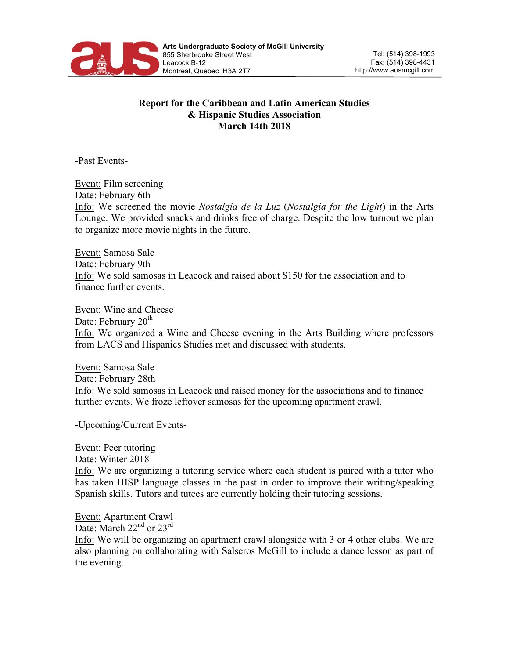

## **Report for the Caribbean and Latin American Studies & Hispanic Studies Association March 14th 2018**

-Past Events-

Event: Film screening Date: February 6th Info: We screened the movie *Nostalgia de la Luz* (*Nostalgia for the Light*) in the Arts Lounge. We provided snacks and drinks free of charge. Despite the low turnout we plan to organize more movie nights in the future.

Event: Samosa Sale Date: February 9th Info: We sold samosas in Leacock and raised about \$150 for the association and to finance further events.

Event: Wine and Cheese Date: February  $20<sup>th</sup>$ Info: We organized a Wine and Cheese evening in the Arts Building where professors from LACS and Hispanics Studies met and discussed with students.

Event: Samosa Sale Date: February 28th Info: We sold samosas in Leacock and raised money for the associations and to finance further events. We froze leftover samosas for the upcoming apartment crawl.

-Upcoming/Current Events-

Event: Peer tutoring Date: Winter 2018 Info: We are organizing a tutoring service where each student is paired with a tutor who has taken HISP language classes in the past in order to improve their writing/speaking Spanish skills. Tutors and tutees are currently holding their tutoring sessions.

Event: Apartment Crawl Date: March 22<sup>nd</sup> or 23<sup>rd</sup> Info: We will be organizing an apartment crawl alongside with 3 or 4 other clubs. We are also planning on collaborating with Salseros McGill to include a dance lesson as part of the evening.